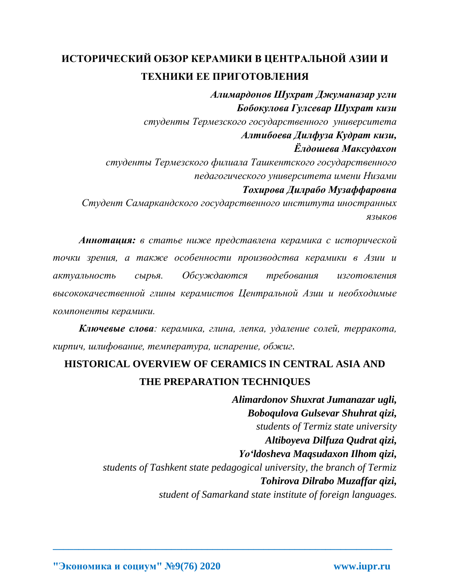## **ИСТОРИЧЕСКИЙ ОБЗОР КЕРАМИКИ В ЦЕНТРАЛЬНОЙ АЗИИ И ТЕХНИКИ ЕЕ ПРИГОТОВЛЕНИЯ**

*Алимардонов Шухрат Джуманазар угли Бобокулова Гулсевар Шухрат кизи студенты Термезского государственного университета Алтибоева Дилфуза Кудрат кизи, Ёлдошева Максудахон студенты Термезского филиала Ташкентского государственного педагогического университета имени Низами Тохирова Дилрабо Музаффаровна Студент Самаркандского государственного института иностранных языков*

*Аннотация: в статье ниже представлена керамика с исторической точки зрения, а также особенности производства керамики в Азии и актуальность сырья. Обсуждаются требования изготовления высококачественной глины керамистов Центральной Азии и необходимые компоненты керамики.* 

*Ключевые слова: керамика, глина, лепка, удаление солей, терракота, кирпич, шлифование, температура, испарение, обжиг.*

## **HISTORICAL OVERVIEW OF CERAMICS IN CENTRAL ASIA AND THE PREPARATION TECHNIQUES**

**\_\_\_\_\_\_\_\_\_\_\_\_\_\_\_\_\_\_\_\_\_\_\_\_\_\_\_\_\_\_\_\_\_\_\_\_\_\_\_\_\_\_\_\_\_\_\_\_\_\_\_\_\_\_\_\_\_\_\_\_\_\_\_\_\_\_**

*Alimardonov Shuxrat Jumanazar ugli, Boboqulova Gulsevar Shuhrat qizi, students of Termiz state university Altiboyeva Dilfuza Qudrat qizi, Yo'ldosheva Maqsudaxon Ilhom qizi, students of Tashkent state pedagogical university, the branch of Termiz Tohirova Dilrabo Muzaffar qizi, student of Samarkand state institute of foreign languages.*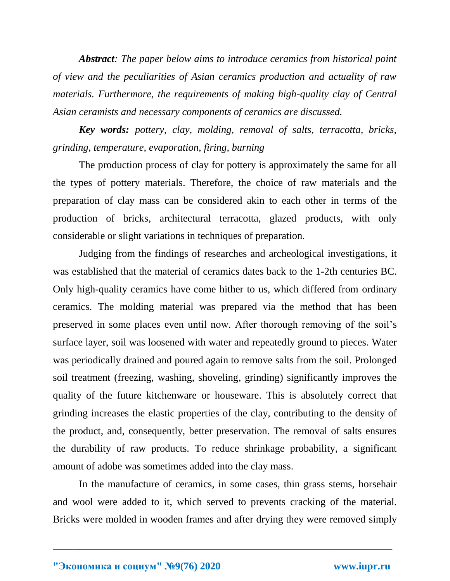*Abstract: The paper below aims to introduce ceramics from historical point of view and the peculiarities of Asian ceramics production and actuality of raw materials. Furthermore, the requirements of making high-quality clay of Central Asian ceramists and necessary components of ceramics are discussed.*

*Key words: pottery, clay, molding, removal of salts, terracotta, bricks, grinding, temperature, evaporation, firing, burning*

The production process of clay for pottery is approximately the same for all the types of pottery materials. Therefore, the choice of raw materials and the preparation of clay mass can be considered akin to each other in terms of the production of bricks, architectural terracotta, glazed products, with only considerable or slight variations in techniques of preparation.

Judging from the findings of researches and archeological investigations, it was established that the material of ceramics dates back to the 1-2th centuries BC. Only high-quality ceramics have come hither to us, which differed from ordinary ceramics. The molding material was prepared via the method that has been preserved in some places even until now. After thorough removing of the soil's surface layer, soil was loosened with water and repeatedly ground to pieces. Water was periodically drained and poured again to remove salts from the soil. Prolonged soil treatment (freezing, washing, shoveling, grinding) significantly improves the quality of the future kitchenware or houseware. This is absolutely correct that grinding increases the elastic properties of the clay, contributing to the density of the product, and, consequently, better preservation. The removal of salts ensures the durability of raw products. To reduce shrinkage probability, a significant amount of adobe was sometimes added into the clay mass.

In the manufacture of ceramics, in some cases, thin grass stems, horsehair and wool were added to it, which served to prevents cracking of the material. Bricks were molded in wooden frames and after drying they were removed simply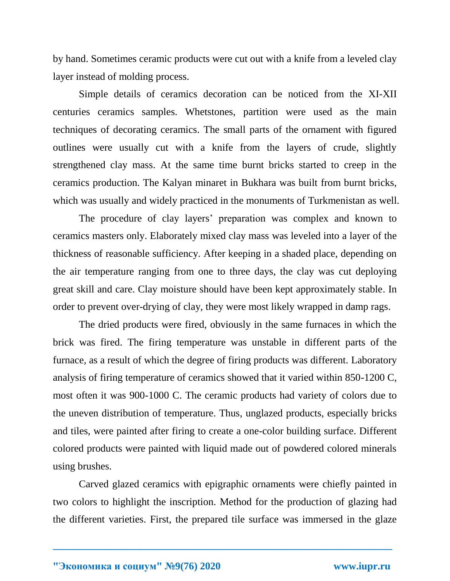by hand. Sometimes ceramic products were cut out with a knife from a leveled clay layer instead of molding process.

Simple details of ceramics decoration can be noticed from the XI-XII centuries ceramics samples. Whetstones, partition were used as the main techniques of decorating ceramics. The small parts of the ornament with figured outlines were usually cut with a knife from the layers of crude, slightly strengthened clay mass. At the same time burnt bricks started to creep in the ceramics production. The Kalyan minaret in Bukhara was built from burnt bricks, which was usually and widely practiced in the monuments of Turkmenistan as well.

The procedure of clay layers' preparation was complex and known to ceramics masters only. Elaborately mixed clay mass was leveled into a layer of the thickness of reasonable sufficiency. After keeping in a shaded place, depending on the air temperature ranging from one to three days, the clay was cut deploying great skill and care. Clay moisture should have been kept approximately stable. In order to prevent over-drying of clay, they were most likely wrapped in damp rags.

The dried products were fired, obviously in the same furnaces in which the brick was fired. The firing temperature was unstable in different parts of the furnace, as a result of which the degree of firing products was different. Laboratory analysis of firing temperature of ceramics showed that it varied within 850-1200 C, most often it was 900-1000 C. The ceramic products had variety of colors due to the uneven distribution of temperature. Thus, unglazed products, especially bricks and tiles, were painted after firing to create a one-color building surface. Different colored products were painted with liquid made out of powdered colored minerals using brushes.

Carved glazed ceramics with epigraphic ornaments were chiefly painted in two colors to highlight the inscription. Method for the production of glazing had the different varieties. First, the prepared tile surface was immersed in the glaze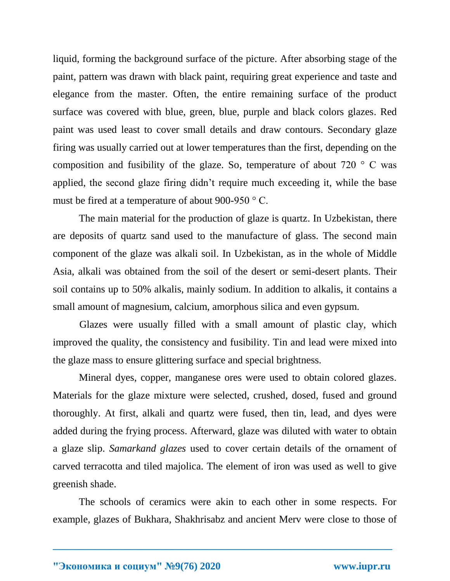liquid, forming the background surface of the picture. After absorbing stage of the paint, pattern was drawn with black paint, requiring great experience and taste and elegance from the master. Often, the entire remaining surface of the product surface was covered with blue, green, blue, purple and black colors glazes. Red paint was used least to cover small details and draw contours. Secondary glaze firing was usually carried out at lower temperatures than the first, depending on the composition and fusibility of the glaze. So, temperature of about  $720$  ° C was applied, the second glaze firing didn't require much exceeding it, while the base must be fired at a temperature of about 900-950 ° C.

The main material for the production of glaze is quartz. In Uzbekistan, there are deposits of quartz sand used to the manufacture of glass. The second main component of the glaze was alkali soil. In Uzbekistan, as in the whole of Middle Asia, alkali was obtained from the soil of the desert or semi-desert plants. Their soil contains up to 50% alkalis, mainly sodium. In addition to alkalis, it contains a small amount of magnesium, calcium, amorphous silica and even gypsum.

Glazes were usually filled with a small amount of plastic clay, which improved the quality, the consistency and fusibility. Tin and lead were mixed into the glaze mass to ensure glittering surface and special brightness.

Mineral dyes, copper, manganese ores were used to obtain colored glazes. Materials for the glaze mixture were selected, crushed, dosed, fused and ground thoroughly. At first, alkali and quartz were fused, then tin, lead, and dyes were added during the frying process. Afterward, glaze was diluted with water to obtain a glaze slip. *Samarkand glazes* used to cover certain details of the ornament of carved terracotta and tiled majolica. The element of iron was used as well to give greenish shade.

The schools of ceramics were akin to each other in some respects. For example, glazes of Bukhara, Shakhrisabz and ancient Merv were close to those of